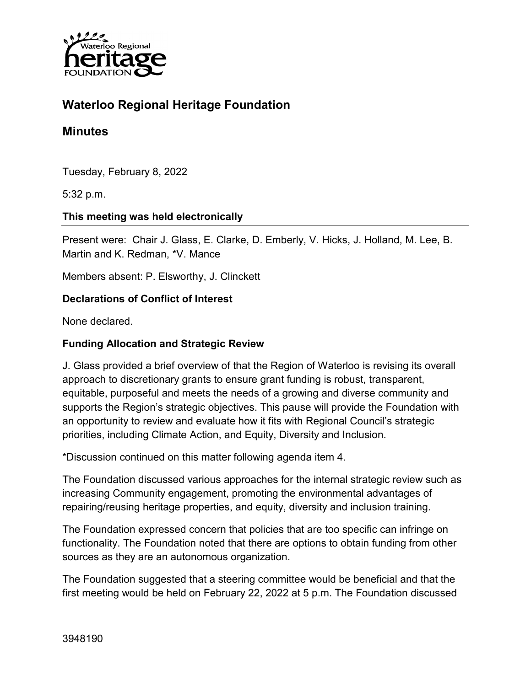

# **Waterloo Regional Heritage Foundation**

### **Minutes**

Tuesday, February 8, 2022

5:32 p.m.

#### **This meeting was held electronically**

Present were: Chair J. Glass, E. Clarke, D. Emberly, V. Hicks, J. Holland, M. Lee, B. Martin and K. Redman, \*V. Mance

Members absent: P. Elsworthy, J. Clinckett

#### **Declarations of Conflict of Interest**

None declared.

#### **Funding Allocation and Strategic Review**

J. Glass provided a brief overview of that the Region of Waterloo is revising its overall approach to discretionary grants to ensure grant funding is robust, transparent, equitable, purposeful and meets the needs of a growing and diverse community and supports the Region's strategic objectives. This pause will provide the Foundation with an opportunity to review and evaluate how it fits with Regional Council's strategic priorities, including Climate Action, and Equity, Diversity and Inclusion.

\*Discussion continued on this matter following agenda item 4.

The Foundation discussed various approaches for the internal strategic review such as increasing Community engagement, promoting the environmental advantages of repairing/reusing heritage properties, and equity, diversity and inclusion training.

The Foundation expressed concern that policies that are too specific can infringe on functionality. The Foundation noted that there are options to obtain funding from other sources as they are an autonomous organization.

The Foundation suggested that a steering committee would be beneficial and that the first meeting would be held on February 22, 2022 at 5 p.m. The Foundation discussed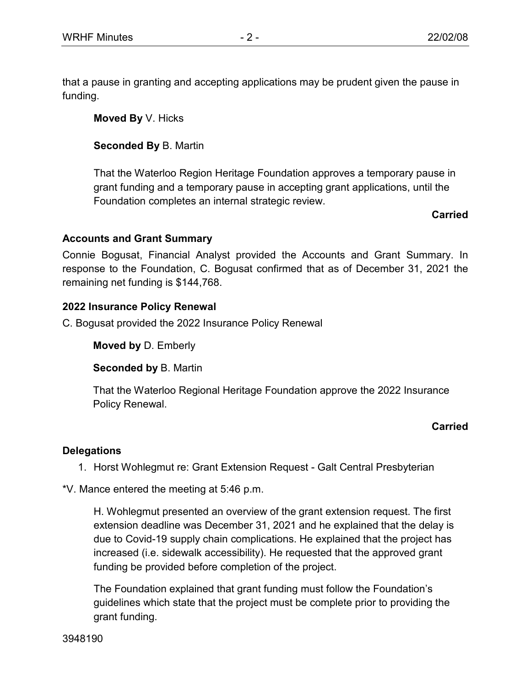that a pause in granting and accepting applications may be prudent given the pause in funding.

**Moved By** V. Hicks

**Seconded By** B. Martin

That the Waterloo Region Heritage Foundation approves a temporary pause in grant funding and a temporary pause in accepting grant applications, until the Foundation completes an internal strategic review.

**Carried**

### **Accounts and Grant Summary**

Connie Bogusat, Financial Analyst provided the Accounts and Grant Summary. In response to the Foundation, C. Bogusat confirmed that as of December 31, 2021 the remaining net funding is \$144,768.

## **2022 Insurance Policy Renewal**

C. Bogusat provided the 2022 Insurance Policy Renewal

**Moved by** D. Emberly

**Seconded by** B. Martin

That the Waterloo Regional Heritage Foundation approve the 2022 Insurance Policy Renewal.

## **Carried**

## **Delegations**

1. Horst Wohlegmut re: Grant Extension Request - Galt Central Presbyterian

\*V. Mance entered the meeting at 5:46 p.m.

H. Wohlegmut presented an overview of the grant extension request. The first extension deadline was December 31, 2021 and he explained that the delay is due to Covid-19 supply chain complications. He explained that the project has increased (i.e. sidewalk accessibility). He requested that the approved grant funding be provided before completion of the project.

The Foundation explained that grant funding must follow the Foundation's guidelines which state that the project must be complete prior to providing the grant funding.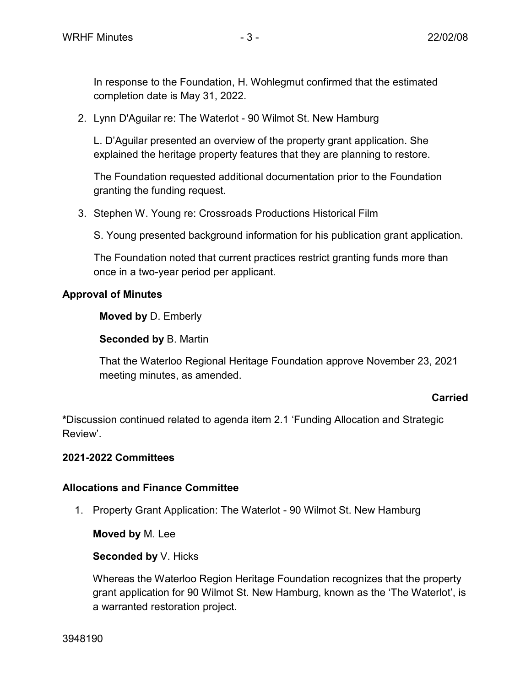In response to the Foundation, H. Wohlegmut confirmed that the estimated completion date is May 31, 2022.

2. Lynn D'Aguilar re: The Waterlot - 90 Wilmot St. New Hamburg

L. D'Aguilar presented an overview of the property grant application. She explained the heritage property features that they are planning to restore.

The Foundation requested additional documentation prior to the Foundation granting the funding request.

3. Stephen W. Young re: Crossroads Productions Historical Film

S. Young presented background information for his publication grant application.

The Foundation noted that current practices restrict granting funds more than once in a two-year period per applicant.

### **Approval of Minutes**

**Moved by** D. Emberly

**Seconded by** B. Martin

That the Waterloo Regional Heritage Foundation approve November 23, 2021 meeting minutes, as amended.

### **Carried**

**\***Discussion continued related to agenda item 2.1 'Funding Allocation and Strategic Review'.

### **2021-2022 Committees**

## **Allocations and Finance Committee**

1. Property Grant Application: The Waterlot - 90 Wilmot St. New Hamburg

**Moved by** M. Lee

### **Seconded by** V. Hicks

Whereas the Waterloo Region Heritage Foundation recognizes that the property grant application for 90 Wilmot St. New Hamburg, known as the 'The Waterlot', is a warranted restoration project.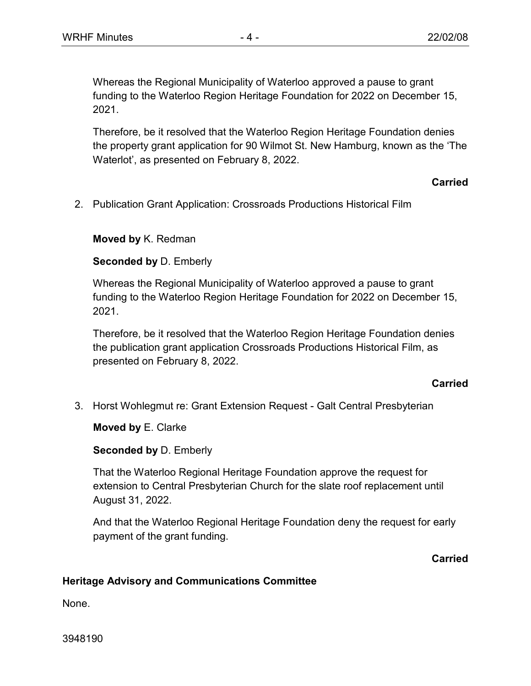Whereas the Regional Municipality of Waterloo approved a pause to grant funding to the Waterloo Region Heritage Foundation for 2022 on December 15, 2021.

Therefore, be it resolved that the Waterloo Region Heritage Foundation denies the property grant application for 90 Wilmot St. New Hamburg, known as the 'The Waterlot', as presented on February 8, 2022.

#### **Carried**

2. Publication Grant Application: Crossroads Productions Historical Film

**Moved by** K. Redman

**Seconded by** D. Emberly

Whereas the Regional Municipality of Waterloo approved a pause to grant funding to the Waterloo Region Heritage Foundation for 2022 on December 15, 2021.

Therefore, be it resolved that the Waterloo Region Heritage Foundation denies the publication grant application Crossroads Productions Historical Film, as presented on February 8, 2022.

### **Carried**

3. Horst Wohlegmut re: Grant Extension Request - Galt Central Presbyterian

**Moved by** E. Clarke

**Seconded by** D. Emberly

That the Waterloo Regional Heritage Foundation approve the request for extension to Central Presbyterian Church for the slate roof replacement until August 31, 2022.

And that the Waterloo Regional Heritage Foundation deny the request for early payment of the grant funding.

#### **Carried**

### **Heritage Advisory and Communications Committee**

None.

3948190